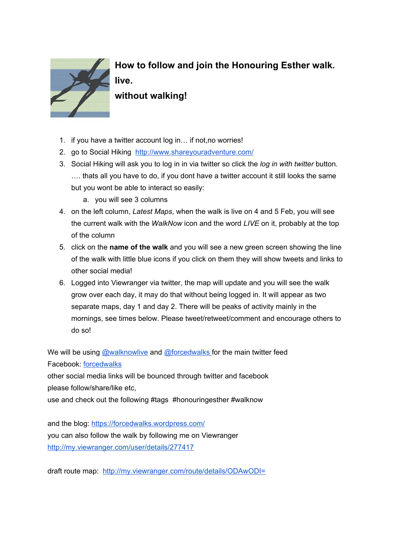

**How to follow and join the Honouring Esther walk. live.**

**without walking!**

- 1. if you have a twitter account log in… if not,no worries!
- 2. go to Social Hikin[g](http://www.shareyouradventure.com/) <http://www.shareyouradventure.com/>
- 3. Social Hiking will ask you to log in in via twitter so click the *log in with twitter* button. …. thats all you have to do, if you dont have a twitter account it still looks the same but you wont be able to interact so easily:
	- a. you will see 3 columns
- 4. on the left column, *Latest Maps*, when the walk is live on 4 and 5 Feb, you will see the current walk with the *WalkNow* icon and the word *LIVE* on it, probably at the top of the column
- 5. click on the **name of the walk**and you will see a new green screen showing the line of the walk with little blue icons if you click on them they will show tweets and links to other social media!
- 6. Logged into Viewranger via twitter, the map will update and you will see the walk grow over each day, it may do that without being logged in. It will appear as two separate maps, day 1 and day 2. There will be peaks of activity mainly in the mornings, see times below. Please tweet/retweet/comment and encourage others to do so!

We will be usin[g](https://twitter.com/walknowlive) **[@walknowlive](https://twitter.com/walknowlive) an[d](https://twitter.com/ForcedWalks) [@forcedwalks](https://twitter.com/ForcedWalks)** for the main twitter feed Facebook[:](https://www.facebook.com/forcedwalks/) [forcedwalks](https://www.facebook.com/forcedwalks/)

other social media links will be bounced through twitter and facebook please follow/share/like etc,

use and check out the following #tags #honouringesther #walknow

and the blog[:](https://forcedwalks.wordpress.com/) <https://forcedwalks.wordpress.com/> you can also follow the walk by following me on Viewranger <http://my.viewranger.com/user/details/277417>

draft route map: <http://my.viewranger.com/route/details/ODAwODI=>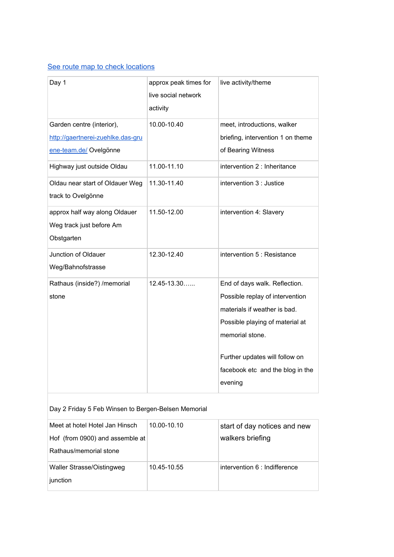## See route map to check [locations](https://www.google.com/maps/d/edit?mid=zG0FerrHE65o.k5kvqlATWHv0&usp=sharing)

| Day 1                                                                                    | approx peak times for<br>live social network<br>activity | live activity/theme                                                                                                                                                                                                                     |
|------------------------------------------------------------------------------------------|----------------------------------------------------------|-----------------------------------------------------------------------------------------------------------------------------------------------------------------------------------------------------------------------------------------|
| Garden centre (interior),<br>http://gaertnerei-zuehlke.das-gru<br>ene-team.de/ Ovelgönne | 10.00-10.40                                              | meet, introductions, walker<br>briefing, intervention 1 on theme<br>of Bearing Witness                                                                                                                                                  |
| Highway just outside Oldau                                                               | 11.00-11.10                                              | intervention 2 : Inheritance                                                                                                                                                                                                            |
| Oldau near start of Oldauer Weg<br>track to Ovelgönne                                    | 11.30-11.40                                              | intervention 3 : Justice                                                                                                                                                                                                                |
| approx half way along Oldauer<br>Weg track just before Am<br>Obstgarten                  | 11.50-12.00                                              | intervention 4: Slavery                                                                                                                                                                                                                 |
| Junction of Oldauer<br>Weg/Bahnofstrasse                                                 | 12.30-12.40                                              | intervention 5 : Resistance                                                                                                                                                                                                             |
| Rathaus (inside?) / memorial<br>stone                                                    | $12.45 - 13.30$                                          | End of days walk. Reflection.<br>Possible replay of intervention<br>materials if weather is bad.<br>Possible playing of material at<br>memorial stone.<br>Further updates will follow on<br>facebook etc and the blog in the<br>evening |

Day 2 Friday 5 Feb Winsen to Bergen-Belsen Memorial

| Meet at hotel Hotel Jan Hinsch  | 10.00-10.10 | start of day notices and new  |
|---------------------------------|-------------|-------------------------------|
| Hof (from 0900) and assemble at |             | walkers briefing              |
| Rathaus/memorial stone          |             |                               |
| Waller Strasse/Oistingweg       | 10.45-10.55 | intervention 6 : Indifference |
| junction                        |             |                               |